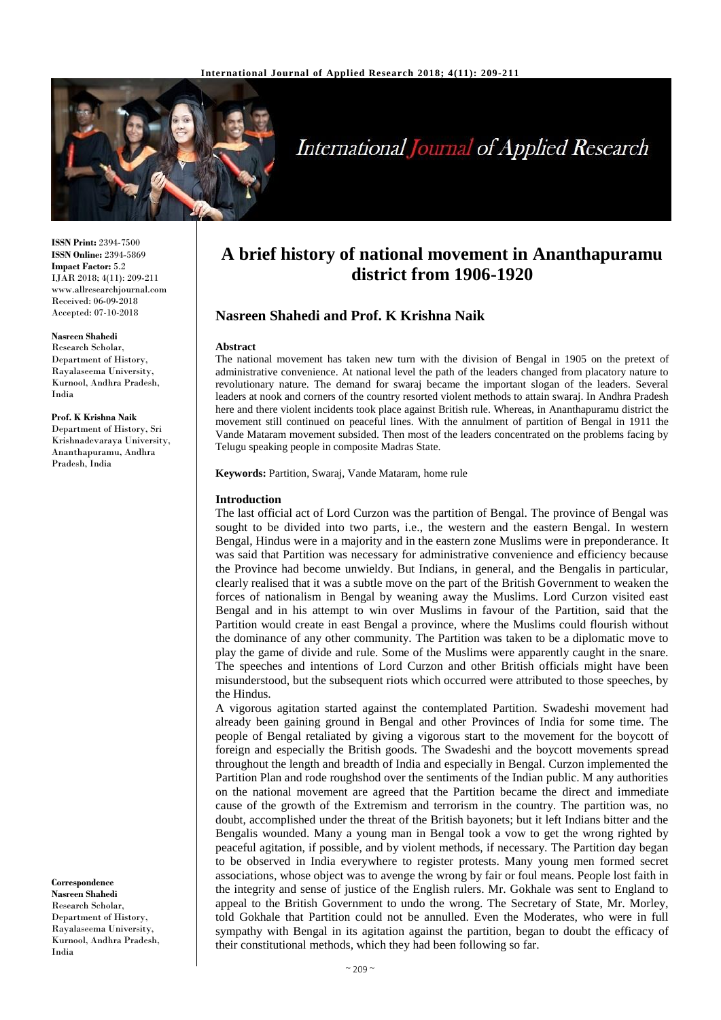

# **International Journal of Applied Research**

**ISSN Print:** 2394-7500 **ISSN Online:** 2394-5869 **Impact Factor:** 5.2 IJAR 2018; 4(11): 209-211 www.allresearchjournal.com Received: 06-09-2018 Accepted: 07-10-2018

#### **Nasreen Shahedi**

Research Scholar, Department of History, Rayalaseema University, Kurnool, Andhra Pradesh, India

**Prof. K Krishna Naik** Department of History, Sri Krishnadevaraya University, Ananthapuramu, Andhra Pradesh, India

**Correspondence Nasreen Shahedi** Research Scholar, Department of History, Rayalaseema University, Kurnool, Andhra Pradesh, India

# **A brief history of national movement in Ananthapuramu district from 1906-1920**

## **Nasreen Shahedi and Prof. K Krishna Naik**

#### **Abstract**

The national movement has taken new turn with the division of Bengal in 1905 on the pretext of administrative convenience. At national level the path of the leaders changed from placatory nature to revolutionary nature. The demand for swaraj became the important slogan of the leaders. Several leaders at nook and corners of the country resorted violent methods to attain swaraj. In Andhra Pradesh here and there violent incidents took place against British rule. Whereas, in Ananthapuramu district the movement still continued on peaceful lines. With the annulment of partition of Bengal in 1911 the Vande Mataram movement subsided. Then most of the leaders concentrated on the problems facing by Telugu speaking people in composite Madras State.

**Keywords:** Partition, Swaraj, Vande Mataram, home rule

#### **Introduction**

The last official act of Lord Curzon was the partition of Bengal. The province of Bengal was sought to be divided into two parts, i.e., the western and the eastern Bengal. In western Bengal, Hindus were in a majority and in the eastern zone Muslims were in preponderance. It was said that Partition was necessary for administrative convenience and efficiency because the Province had become unwieldy. But Indians, in general, and the Bengalis in particular, clearly realised that it was a subtle move on the part of the British Government to weaken the forces of nationalism in Bengal by weaning away the Muslims. Lord Curzon visited east Bengal and in his attempt to win over Muslims in favour of the Partition, said that the Partition would create in east Bengal a province, where the Muslims could flourish without the dominance of any other community. The Partition was taken to be a diplomatic move to play the game of divide and rule. Some of the Muslims were apparently caught in the snare. The speeches and intentions of Lord Curzon and other British officials might have been misunderstood, but the subsequent riots which occurred were attributed to those speeches, by the Hindus.

A vigorous agitation started against the contemplated Partition. Swadeshi movement had already been gaining ground in Bengal and other Provinces of India for some time. The people of Bengal retaliated by giving a vigorous start to the movement for the boycott of foreign and especially the British goods. The Swadeshi and the boycott movements spread throughout the length and breadth of India and especially in Bengal. Curzon implemented the Partition Plan and rode roughshod over the sentiments of the Indian public. M any authorities on the national movement are agreed that the Partition became the direct and immediate cause of the growth of the Extremism and terrorism in the country. The partition was, no doubt, accomplished under the threat of the British bayonets; but it left Indians bitter and the Bengalis wounded. Many a young man in Bengal took a vow to get the wrong righted by peaceful agitation, if possible, and by violent methods, if necessary. The Partition day began to be observed in India everywhere to register protests. Many young men formed secret associations, whose object was to avenge the wrong by fair or foul means. People lost faith in the integrity and sense of justice of the English rulers. Mr. Gokhale was sent to England to appeal to the British Government to undo the wrong. The Secretary of State, Mr. Morley, told Gokhale that Partition could not be annulled. Even the Moderates, who were in full sympathy with Bengal in its agitation against the partition, began to doubt the efficacy of their constitutional methods, which they had been following so far.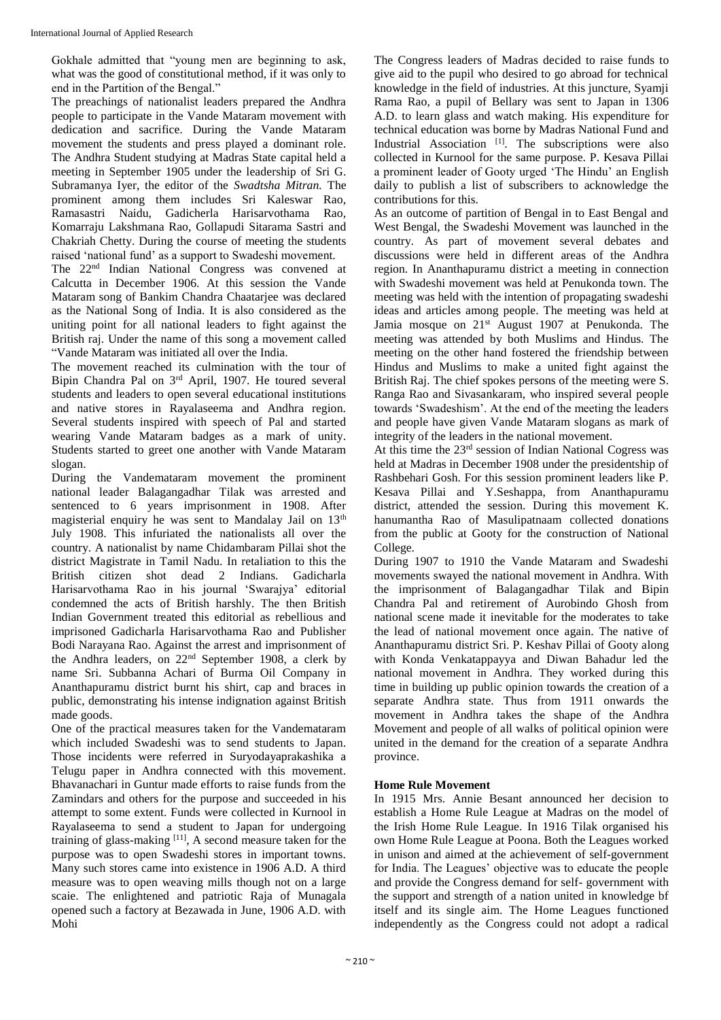Gokhale admitted that "young men are beginning to ask, what was the good of constitutional method, if it was only to end in the Partition of the Bengal."

The preachings of nationalist leaders prepared the Andhra people to participate in the Vande Mataram movement with dedication and sacrifice. During the Vande Mataram movement the students and press played a dominant role. The Andhra Student studying at Madras State capital held a meeting in September 1905 under the leadership of Sri G. Subramanya Iyer, the editor of the *Swadtsha Mitran.* The prominent among them includes Sri Kaleswar Rao, Ramasastri Naidu, Gadicherla Harisarvothama Rao, Komarraju Lakshmana Rao, Gollapudi Sitarama Sastri and Chakriah Chetty. During the course of meeting the students raised 'national fund' as a support to Swadeshi movement.

The 22nd Indian National Congress was convened at Calcutta in December 1906. At this session the Vande Mataram song of Bankim Chandra Chaatarjee was declared as the National Song of India. It is also considered as the uniting point for all national leaders to fight against the British raj. Under the name of this song a movement called "Vande Mataram was initiated all over the India.

The movement reached its culmination with the tour of Bipin Chandra Pal on 3rd April, 1907. He toured several students and leaders to open several educational institutions and native stores in Rayalaseema and Andhra region. Several students inspired with speech of Pal and started wearing Vande Mataram badges as a mark of unity. Students started to greet one another with Vande Mataram slogan.

During the Vandemataram movement the prominent national leader Balagangadhar Tilak was arrested and sentenced to 6 years imprisonment in 1908. After magisterial enquiry he was sent to Mandalay Jail on 13<sup>th</sup> July 1908. This infuriated the nationalists all over the country. A nationalist by name Chidambaram Pillai shot the district Magistrate in Tamil Nadu. In retaliation to this the British citizen shot dead 2 Indians. Gadicharla Harisarvothama Rao in his journal 'Swarajya' editorial condemned the acts of British harshly. The then British Indian Government treated this editorial as rebellious and imprisoned Gadicharla Harisarvothama Rao and Publisher Bodi Narayana Rao. Against the arrest and imprisonment of the Andhra leaders, on 22nd September 1908, a clerk by name Sri. Subbanna Achari of Burma Oil Company in Ananthapuramu district burnt his shirt, cap and braces in public, demonstrating his intense indignation against British made goods.

One of the practical measures taken for the Vandemataram which included Swadeshi was to send students to Japan. Those incidents were referred in Suryodayaprakashika a Telugu paper in Andhra connected with this movement. Bhavanachari in Guntur made efforts to raise funds from the Zamindars and others for the purpose and succeeded in his attempt to some extent. Funds were collected in Kurnool in Rayalaseema to send a student to Japan for undergoing training of glass-making [11], A second measure taken for the purpose was to open Swadeshi stores in important towns. Many such stores came into existence in 1906 A.D. A third measure was to open weaving mills though not on a large scaie. The enlightened and patriotic Raja of Munagala opened such a factory at Bezawada in June, 1906 A.D. with Mohi

The Congress leaders of Madras decided to raise funds to give aid to the pupil who desired to go abroad for technical knowledge in the field of industries. At this juncture, Syamji Rama Rao, a pupil of Bellary was sent to Japan in 1306 A.D. to learn glass and watch making. His expenditure for technical education was borne by Madras National Fund and Industrial Association<sup>[1]</sup>. The subscriptions were also collected in Kurnool for the same purpose. P. Kesava Pillai a prominent leader of Gooty urged 'The Hindu' an English daily to publish a list of subscribers to acknowledge the contributions for this.

As an outcome of partition of Bengal in to East Bengal and West Bengal, the Swadeshi Movement was launched in the country. As part of movement several debates and discussions were held in different areas of the Andhra region. In Ananthapuramu district a meeting in connection with Swadeshi movement was held at Penukonda town. The meeting was held with the intention of propagating swadeshi ideas and articles among people. The meeting was held at Jamia mosque on 21st August 1907 at Penukonda. The meeting was attended by both Muslims and Hindus. The meeting on the other hand fostered the friendship between Hindus and Muslims to make a united fight against the British Raj. The chief spokes persons of the meeting were S. Ranga Rao and Sivasankaram, who inspired several people towards 'Swadeshism'. At the end of the meeting the leaders and people have given Vande Mataram slogans as mark of integrity of the leaders in the national movement.

At this time the 23rd session of Indian National Cogress was held at Madras in December 1908 under the presidentship of Rashbehari Gosh. For this session prominent leaders like P. Kesava Pillai and Y.Seshappa, from Ananthapuramu district, attended the session. During this movement K. hanumantha Rao of Masulipatnaam collected donations from the public at Gooty for the construction of National College.

During 1907 to 1910 the Vande Mataram and Swadeshi movements swayed the national movement in Andhra. With the imprisonment of Balagangadhar Tilak and Bipin Chandra Pal and retirement of Aurobindo Ghosh from national scene made it inevitable for the moderates to take the lead of national movement once again. The native of Ananthapuramu district Sri. P. Keshav Pillai of Gooty along with Konda Venkatappayya and Diwan Bahadur led the national movement in Andhra. They worked during this time in building up public opinion towards the creation of a separate Andhra state. Thus from 1911 onwards the movement in Andhra takes the shape of the Andhra Movement and people of all walks of political opinion were united in the demand for the creation of a separate Andhra province.

# **Home Rule Movement**

In 1915 Mrs. Annie Besant announced her decision to establish a Home Rule League at Madras on the model of the Irish Home Rule League. In 1916 Tilak organised his own Home Rule League at Poona. Both the Leagues worked in unison and aimed at the achievement of self-government for India. The Leagues' objective was to educate the people and provide the Congress demand for self- government with the support and strength of a nation united in knowledge bf itself and its single aim. The Home Leagues functioned independently as the Congress could not adopt a radical